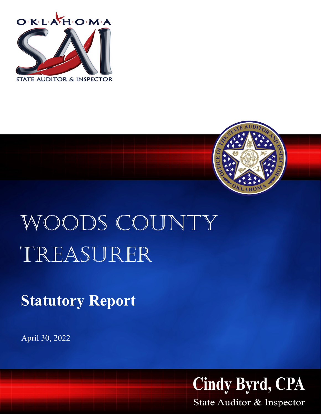



## WOODS COUNTY Treasurer

**Statutory Report**

April 30, 2022



State Auditor & Inspector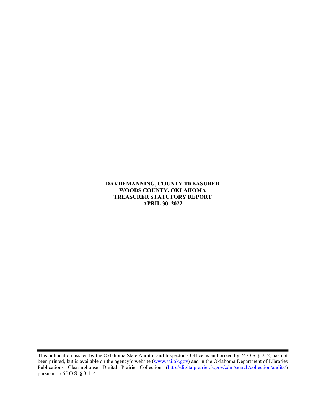DAVID MANNING, COUNTY TREASURER WOODS COUNTY, OKLAHOMA TREASURER STATUTORY REPORT APRIL 30, 2022

This publication, issued by the Oklahoma State Auditor and Inspector's Office as authorized by 74 O.S. § 212, has not been printed, but is available on the agency's website (www.sai.ok.gov) and in the Oklahoma Department of Libraries Publications Clearinghouse Digital Prairie Collection (http://digitalprairie.ok.gov/cdm/search/collection/audits/) pursuant to 65 O.S. § 3-114.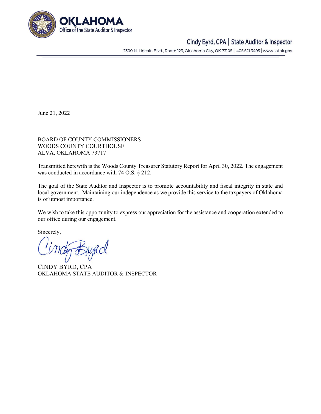

## Cindy Byrd, CPA | State Auditor & Inspector

2300 N. Lincoln Blvd., Room 123, Oklahoma City, OK 73105 | 405.521.3495 | www.sai.ok.gov

June 21, 2022

BOARD OF COUNTY COMMISSIONERS WOODS COUNTY COURTHOUSE ALVA, OKLAHOMA 73717

Transmitted herewith is the Woods County Treasurer Statutory Report for April 30, 2022. The engagement was conducted in accordance with 74 O.S. § 212.

The goal of the State Auditor and Inspector is to promote accountability and fiscal integrity in state and local government. Maintaining our independence as we provide this service to the taxpayers of Oklahoma is of utmost importance.

We wish to take this opportunity to express our appreciation for the assistance and cooperation extended to our office during our engagement.

Sincerely,

CINDY BYRD, CPA OKLAHOMA STATE AUDITOR & INSPECTOR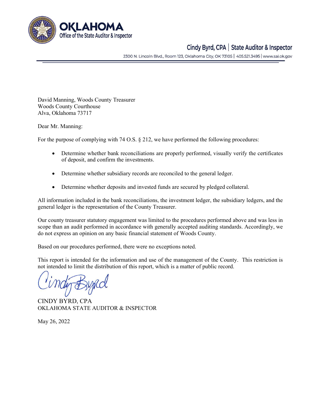

## Cindy Byrd, CPA | State Auditor & Inspector

2300 N. Lincoln Blvd., Room 123, Oklahoma City, OK 73105 | 405.521.3495 | www.sai.ok.gov

David Manning, Woods County Treasurer Woods County Courthouse Alva, Oklahoma 73717

Dear Mr. Manning:

For the purpose of complying with 74 O.S. § 212, we have performed the following procedures:

- Determine whether bank reconciliations are properly performed, visually verify the certificates of deposit, and confirm the investments.
- Determine whether subsidiary records are reconciled to the general ledger.
- Determine whether deposits and invested funds are secured by pledged collateral.

All information included in the bank reconciliations, the investment ledger, the subsidiary ledgers, and the general ledger is the representation of the County Treasurer.

Our county treasurer statutory engagement was limited to the procedures performed above and was less in scope than an audit performed in accordance with generally accepted auditing standards. Accordingly, we do not express an opinion on any basic financial statement of Woods County.

Based on our procedures performed, there were no exceptions noted.

This report is intended for the information and use of the management of the County. This restriction is not intended to limit the distribution of this report, which is a matter of public record.

CINDY BYRD, CPA OKLAHOMA STATE AUDITOR & INSPECTOR

May 26, 2022